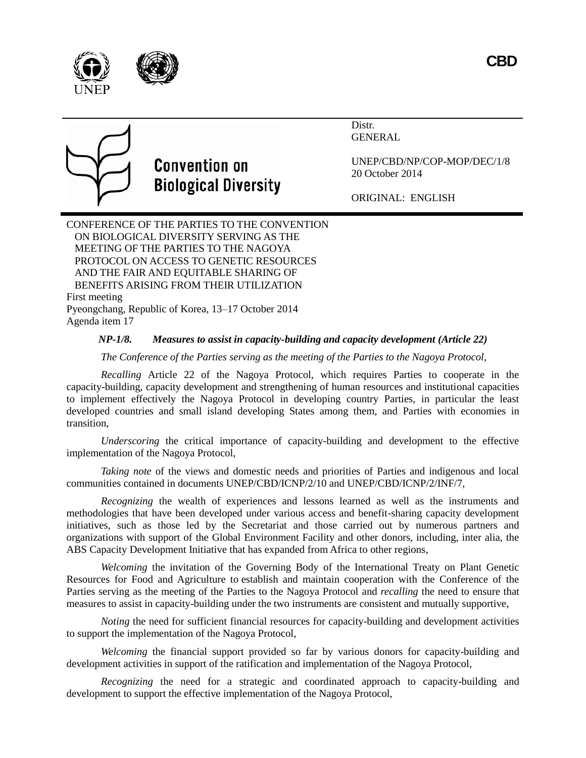



# **Convention on Biological Diversity**

Distr. **GENERAL** 

UNEP/CBD/NP/COP-MOP/DEC/1/8 20 October 2014

ORIGINAL: ENGLISH

CONFERENCE OF THE PARTIES TO THE CONVENTION ON BIOLOGICAL DIVERSITY SERVING AS THE MEETING OF THE PARTIES TO THE NAGOYA PROTOCOL ON ACCESS TO GENETIC RESOURCES AND THE FAIR AND EQUITABLE SHARING OF BENEFITS ARISING FROM THEIR UTILIZATION First meeting Pyeongchang, Republic of Korea, 13–17 October 2014

Agenda item 17

# *NP-1/8. Measures to assist in capacity-building and capacity development (Article 22)*

*The Conference of the Parties serving as the meeting of the Parties to the Nagoya Protocol,*

*Recalling* Article 22 of the Nagoya Protocol, which requires Parties to cooperate in the capacity-building, capacity development and strengthening of human resources and institutional capacities to implement effectively the Nagoya Protocol in developing country Parties, in particular the least developed countries and small island developing States among them, and Parties with economies in transition,

*Underscoring* the critical importance of capacity-building and development to the effective implementation of the Nagoya Protocol,

*Taking note* of the views and domestic needs and priorities of Parties and indigenous and local communities contained in documents UNEP/CBD/ICNP/2/10 and UNEP/CBD/ICNP/2/INF/7,

*Recognizing* the wealth of experiences and lessons learned as well as the instruments and methodologies that have been developed under various access and benefit-sharing capacity development initiatives, such as those led by the Secretariat and those carried out by numerous partners and organizations with support of the Global Environment Facility and other donors, including, inter alia, the ABS Capacity Development Initiative that has expanded from Africa to other regions,

*Welcoming* the invitation of the Governing Body of the International Treaty on Plant Genetic Resources for Food and Agriculture to establish and maintain cooperation with the Conference of the Parties serving as the meeting of the Parties to the Nagoya Protocol and *recalling* the need to ensure that measures to assist in capacity-building under the two instruments are consistent and mutually supportive,

*Noting* the need for sufficient financial resources for capacity-building and development activities to support the implementation of the Nagoya Protocol,

*Welcoming* the financial support provided so far by various donors for capacity-building and development activities in support of the ratification and implementation of the Nagoya Protocol,

*Recognizing* the need for a strategic and coordinated approach to capacity-building and development to support the effective implementation of the Nagoya Protocol,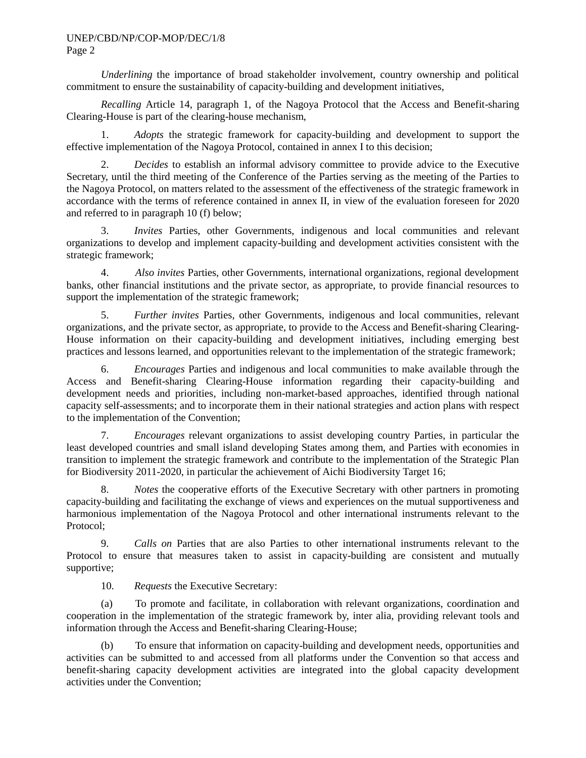*Underlining* the importance of broad stakeholder involvement, country ownership and political commitment to ensure the sustainability of capacity-building and development initiatives,

*Recalling* Article 14, paragraph 1, of the Nagoya Protocol that the Access and Benefit-sharing Clearing-House is part of the clearing-house mechanism,

1. *Adopts* the strategic framework for capacity-building and development to support the effective implementation of the Nagoya Protocol, contained in annex I to this decision;

2. *Decides* to establish an informal advisory committee to provide advice to the Executive Secretary, until the third meeting of the Conference of the Parties serving as the meeting of the Parties to the Nagoya Protocol, on matters related to the assessment of the effectiveness of the strategic framework in accordance with the terms of reference contained in annex II, in view of the evaluation foreseen for 2020 and referred to in paragraph 10 (f) below;

3. *Invites* Parties, other Governments, indigenous and local communities and relevant organizations to develop and implement capacity-building and development activities consistent with the strategic framework;

4. *Also invites* Parties, other Governments, international organizations, regional development banks, other financial institutions and the private sector, as appropriate, to provide financial resources to support the implementation of the strategic framework;

5. *Further invites* Parties, other Governments, indigenous and local communities, relevant organizations, and the private sector, as appropriate, to provide to the Access and Benefit-sharing Clearing-House information on their capacity-building and development initiatives, including emerging best practices and lessons learned, and opportunities relevant to the implementation of the strategic framework;

6. *Encourages* Parties and indigenous and local communities to make available through the Access and Benefit-sharing Clearing-House information regarding their capacity-building and development needs and priorities, including non-market-based approaches, identified through national capacity self-assessments; and to incorporate them in their national strategies and action plans with respect to the implementation of the Convention;

7. *Encourages* relevant organizations to assist developing country Parties, in particular the least developed countries and small island developing States among them, and Parties with economies in transition to implement the strategic framework and contribute to the implementation of the Strategic Plan for Biodiversity 2011-2020, in particular the achievement of Aichi Biodiversity Target 16;

8. *Notes* the cooperative efforts of the Executive Secretary with other partners in promoting capacity-building and facilitating the exchange of views and experiences on the mutual supportiveness and harmonious implementation of the Nagoya Protocol and other international instruments relevant to the Protocol;

9. *Calls on* Parties that are also Parties to other international instruments relevant to the Protocol to ensure that measures taken to assist in capacity-building are consistent and mutually supportive;

10. *Requests* the Executive Secretary:

(a) To promote and facilitate, in collaboration with relevant organizations, coordination and cooperation in the implementation of the strategic framework by, inter alia, providing relevant tools and information through the Access and Benefit-sharing Clearing-House;

(b) To ensure that information on capacity-building and development needs, opportunities and activities can be submitted to and accessed from all platforms under the Convention so that access and benefit-sharing capacity development activities are integrated into the global capacity development activities under the Convention;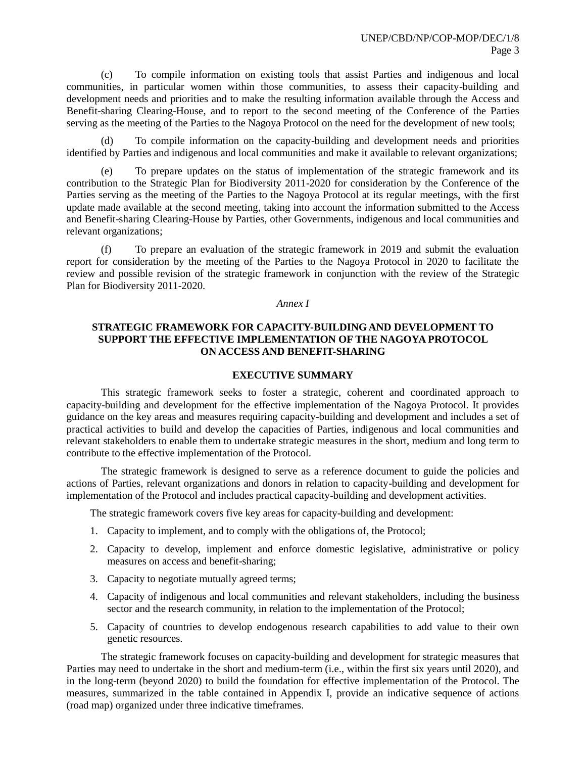(c) To compile information on existing tools that assist Parties and indigenous and local communities, in particular women within those communities, to assess their capacity-building and development needs and priorities and to make the resulting information available through the Access and Benefit-sharing Clearing-House, and to report to the second meeting of the Conference of the Parties serving as the meeting of the Parties to the Nagoya Protocol on the need for the development of new tools;

To compile information on the capacity-building and development needs and priorities identified by Parties and indigenous and local communities and make it available to relevant organizations;

(e) To prepare updates on the status of implementation of the strategic framework and its contribution to the Strategic Plan for Biodiversity 2011-2020 for consideration by the Conference of the Parties serving as the meeting of the Parties to the Nagoya Protocol at its regular meetings, with the first update made available at the second meeting, taking into account the information submitted to the Access and Benefit-sharing Clearing-House by Parties, other Governments, indigenous and local communities and relevant organizations;

(f) To prepare an evaluation of the strategic framework in 2019 and submit the evaluation report for consideration by the meeting of the Parties to the Nagoya Protocol in 2020 to facilitate the review and possible revision of the strategic framework in conjunction with the review of the Strategic Plan for Biodiversity 2011-2020.

#### *Annex I*

## **STRATEGIC FRAMEWORK FOR CAPACITY-BUILDING AND DEVELOPMENT TO SUPPORT THE EFFECTIVE IMPLEMENTATION OF THE NAGOYA PROTOCOL ON ACCESS AND BENEFIT-SHARING**

#### **EXECUTIVE SUMMARY**

This strategic framework seeks to foster a strategic, coherent and coordinated approach to capacity-building and development for the effective implementation of the Nagoya Protocol. It provides guidance on the key areas and measures requiring capacity-building and development and includes a set of practical activities to build and develop the capacities of Parties, indigenous and local communities and relevant stakeholders to enable them to undertake strategic measures in the short, medium and long term to contribute to the effective implementation of the Protocol.

The strategic framework is designed to serve as a reference document to guide the policies and actions of Parties, relevant organizations and donors in relation to capacity-building and development for implementation of the Protocol and includes practical capacity-building and development activities.

The strategic framework covers five key areas for capacity-building and development:

- 1. Capacity to implement, and to comply with the obligations of, the Protocol;
- 2. Capacity to develop, implement and enforce domestic legislative, administrative or policy measures on access and benefit-sharing;
- 3. Capacity to negotiate mutually agreed terms;
- 4. Capacity of indigenous and local communities and relevant stakeholders, including the business sector and the research community, in relation to the implementation of the Protocol;
- 5. Capacity of countries to develop endogenous research capabilities to add value to their own genetic resources.

The strategic framework focuses on capacity-building and development for strategic measures that Parties may need to undertake in the short and medium-term (i.e., within the first six years until 2020), and in the long-term (beyond 2020) to build the foundation for effective implementation of the Protocol. The measures, summarized in the table contained in Appendix I, provide an indicative sequence of actions (road map) organized under three indicative timeframes.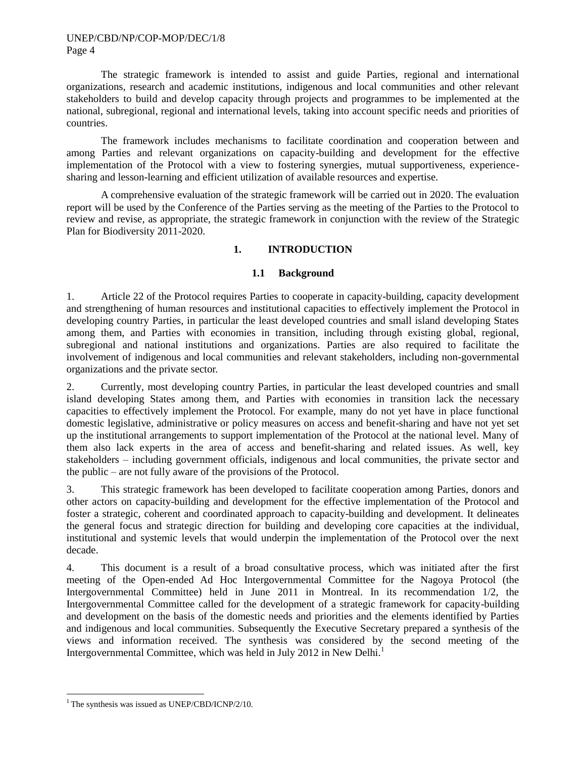The strategic framework is intended to assist and guide Parties, regional and international organizations, research and academic institutions, indigenous and local communities and other relevant stakeholders to build and develop capacity through projects and programmes to be implemented at the national, subregional, regional and international levels, taking into account specific needs and priorities of countries.

The framework includes mechanisms to facilitate coordination and cooperation between and among Parties and relevant organizations on capacity-building and development for the effective implementation of the Protocol with a view to fostering synergies, mutual supportiveness, experiencesharing and lesson-learning and efficient utilization of available resources and expertise.

A comprehensive evaluation of the strategic framework will be carried out in 2020. The evaluation report will be used by the Conference of the Parties serving as the meeting of the Parties to the Protocol to review and revise, as appropriate, the strategic framework in conjunction with the review of the Strategic Plan for Biodiversity 2011-2020.

## **1. INTRODUCTION**

## **1.1 Background**

1. Article 22 of the Protocol requires Parties to cooperate in capacity-building, capacity development and strengthening of human resources and institutional capacities to effectively implement the Protocol in developing country Parties, in particular the least developed countries and small island developing States among them, and Parties with economies in transition, including through existing global, regional, subregional and national institutions and organizations. Parties are also required to facilitate the involvement of indigenous and local communities and relevant stakeholders, including non-governmental organizations and the private sector.

2. Currently, most developing country Parties, in particular the least developed countries and small island developing States among them, and Parties with economies in transition lack the necessary capacities to effectively implement the Protocol. For example, many do not yet have in place functional domestic legislative, administrative or policy measures on access and benefit-sharing and have not yet set up the institutional arrangements to support implementation of the Protocol at the national level. Many of them also lack experts in the area of access and benefit-sharing and related issues. As well, key stakeholders – including government officials, indigenous and local communities, the private sector and the public – are not fully aware of the provisions of the Protocol.

3. This strategic framework has been developed to facilitate cooperation among Parties, donors and other actors on capacity-building and development for the effective implementation of the Protocol and foster a strategic, coherent and coordinated approach to capacity-building and development. It delineates the general focus and strategic direction for building and developing core capacities at the individual, institutional and systemic levels that would underpin the implementation of the Protocol over the next decade.

4. This document is a result of a broad consultative process, which was initiated after the first meeting of the Open-ended Ad Hoc Intergovernmental Committee for the Nagoya Protocol (the Intergovernmental Committee) held in June 2011 in Montreal. In its recommendation 1/2, the Intergovernmental Committee called for the development of a strategic framework for capacity-building and development on the basis of the domestic needs and priorities and the elements identified by Parties and indigenous and local communities. Subsequently the Executive Secretary prepared a synthesis of the views and information received. The synthesis was considered by the second meeting of the Intergovernmental Committee, which was held in July 2012 in New Delhi.<sup>1</sup>

l

 $1$ <sup>1</sup> The synthesis was issued as UNEP/CBD/ICNP/2/10.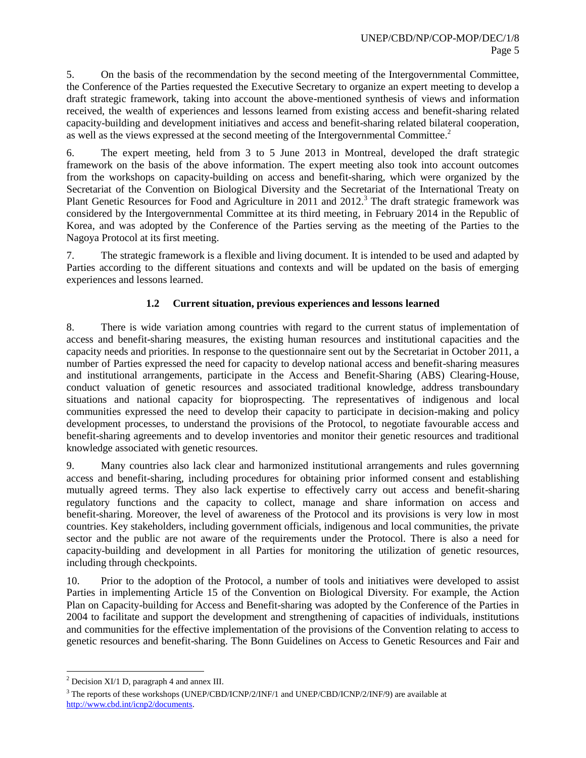5. On the basis of the recommendation by the second meeting of the Intergovernmental Committee, the Conference of the Parties requested the Executive Secretary to organize an expert meeting to develop a draft strategic framework, taking into account the above-mentioned synthesis of views and information received, the wealth of experiences and lessons learned from existing access and benefit-sharing related capacity-building and development initiatives and access and benefit-sharing related bilateral cooperation, as well as the views expressed at the second meeting of the Intergovernmental Committee.<sup>2</sup>

6. The expert meeting, held from 3 to 5 June 2013 in Montreal, developed the draft strategic framework on the basis of the above information. The expert meeting also took into account outcomes from the workshops on capacity-building on access and benefit-sharing, which were organized by the Secretariat of the Convention on Biological Diversity and the Secretariat of the International Treaty on Plant Genetic Resources for Food and Agriculture in 2011 and 2012.<sup>3</sup> The draft strategic framework was considered by the Intergovernmental Committee at its third meeting, in February 2014 in the Republic of Korea, and was adopted by the Conference of the Parties serving as the meeting of the Parties to the Nagoya Protocol at its first meeting.

7. The strategic framework is a flexible and living document. It is intended to be used and adapted by Parties according to the different situations and contexts and will be updated on the basis of emerging experiences and lessons learned.

## **1.2 Current situation, previous experiences and lessons learned**

8. There is wide variation among countries with regard to the current status of implementation of access and benefit-sharing measures, the existing human resources and institutional capacities and the capacity needs and priorities. In response to the questionnaire sent out by the Secretariat in October 2011, a number of Parties expressed the need for capacity to develop national access and benefit-sharing measures and institutional arrangements, participate in the Access and Benefit-Sharing (ABS) Clearing-House, conduct valuation of genetic resources and associated traditional knowledge, address transboundary situations and national capacity for bioprospecting. The representatives of indigenous and local communities expressed the need to develop their capacity to participate in decision-making and policy development processes, to understand the provisions of the Protocol, to negotiate favourable access and benefit-sharing agreements and to develop inventories and monitor their genetic resources and traditional knowledge associated with genetic resources.

9. Many countries also lack clear and harmonized institutional arrangements and rules governning access and benefit-sharing, including procedures for obtaining prior informed consent and establishing mutually agreed terms. They also lack expertise to effectively carry out access and benefit-sharing regulatory functions and the capacity to collect, manage and share information on access and benefit-sharing. Moreover, the level of awareness of the Protocol and its provisions is very low in most countries. Key stakeholders, including government officials, indigenous and local communities, the private sector and the public are not aware of the requirements under the Protocol. There is also a need for capacity-building and development in all Parties for monitoring the utilization of genetic resources, including through checkpoints.

10. Prior to the adoption of the Protocol, a number of tools and initiatives were developed to assist Parties in implementing Article 15 of the Convention on Biological Diversity. For example, the Action Plan on Capacity-building for Access and Benefit-sharing was adopted by the Conference of the Parties in 2004 to facilitate and support the development and strengthening of capacities of individuals, institutions and communities for the effective implementation of the provisions of the Convention relating to access to genetic resources and benefit-sharing. The Bonn Guidelines on Access to Genetic Resources and Fair and

l  $^{2}$  Decision XI/1 D, paragraph 4 and annex III.

<sup>&</sup>lt;sup>3</sup> The reports of these workshops (UNEP/CBD/ICNP/2/INF/1 and UNEP/CBD/ICNP/2/INF/9) are available at [http://www.cbd.int/icnp2/documents.](http://www.cbd.int/icnp2/documents)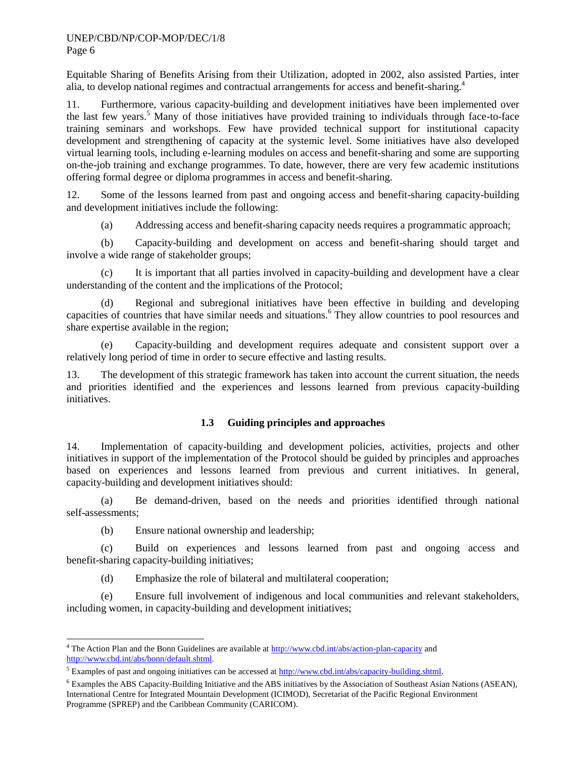Equitable Sharing of Benefits Arising from their Utilization, adopted in 2002, also assisted Parties, inter alia, to develop national regimes and contractual arrangements for access and benefit-sharing.<sup>4</sup>

11. Furthermore, various capacity-building and development initiatives have been implemented over the last few years.<sup>5</sup> Many of those initiatives have provided training to individuals through face-to-face training seminars and workshops. Few have provided technical support for institutional capacity development and strengthening of capacity at the systemic level. Some initiatives have also developed virtual learning tools, including e-learning modules on access and benefit-sharing and some are supporting on-the-job training and exchange programmes. To date, however, there are very few academic institutions offering formal degree or diploma programmes in access and benefit-sharing.

12. Some of the lessons learned from past and ongoing access and benefit-sharing capacity-building and development initiatives include the following:

(a) Addressing access and benefit-sharing capacity needs requires a programmatic approach;

(b) Capacity-building and development on access and benefit-sharing should target and involve a wide range of stakeholder groups;

(c) It is important that all parties involved in capacity-building and development have a clear understanding of the content and the implications of the Protocol;

(d) Regional and subregional initiatives have been effective in building and developing capacities of countries that have similar needs and situations.<sup>6</sup> They allow countries to pool resources and share expertise available in the region;

(e) Capacity-building and development requires adequate and consistent support over a relatively long period of time in order to secure effective and lasting results.

13. The development of this strategic framework has taken into account the current situation, the needs and priorities identified and the experiences and lessons learned from previous capacity-building initiatives.

## **1.3 Guiding principles and approaches**

14. Implementation of capacity-building and development policies, activities, projects and other initiatives in support of the implementation of the Protocol should be guided by principles and approaches based on experiences and lessons learned from previous and current initiatives. In general, capacity-building and development initiatives should:

(a) Be demand-driven, based on the needs and priorities identified through national self-assessments;

(b) Ensure national ownership and leadership;

l

(c) Build on experiences and lessons learned from past and ongoing access and benefit-sharing capacity-building initiatives;

(d) Emphasize the role of bilateral and multilateral cooperation;

(e) Ensure full involvement of indigenous and local communities and relevant stakeholders, including women, in capacity-building and development initiatives;

<sup>&</sup>lt;sup>4</sup> The Action Plan and the Bonn Guidelines are available a[t http://www.cbd.int/abs/action-plan-capacity](http://www.cbd.int/abs/action-plan-capacity) and [http://www.cbd.int/abs/bonn/default.shtml.](http://www.cbd.int/abs/bonn/default.shtml)

<sup>&</sup>lt;sup>5</sup> Examples of past and ongoing initiatives can be accessed a[t http://www.cbd.int/abs/capacity-building.shtml.](http://www.cbd.int/abs/capacity-building.shtml)

<sup>6</sup> Examples the ABS Capacity-Building Initiative and the ABS initiatives by the Association of Southeast Asian Nations (ASEAN), International Centre for Integrated Mountain Development (ICIMOD), Secretariat of the Pacific Regional Environment Programme (SPREP) and the Caribbean Community (CARICOM).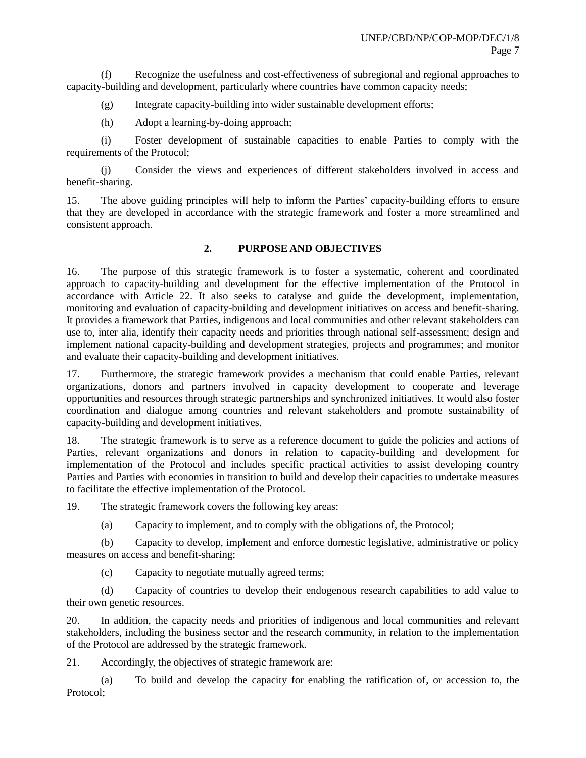(f) Recognize the usefulness and cost-effectiveness of subregional and regional approaches to capacity-building and development, particularly where countries have common capacity needs;

(g) Integrate capacity-building into wider sustainable development efforts;

(h) Adopt a learning-by-doing approach;

(i) Foster development of sustainable capacities to enable Parties to comply with the requirements of the Protocol;

(j) Consider the views and experiences of different stakeholders involved in access and benefit-sharing.

15. The above guiding principles will help to inform the Parties' capacity-building efforts to ensure that they are developed in accordance with the strategic framework and foster a more streamlined and consistent approach.

## **2. PURPOSE AND OBJECTIVES**

16. The purpose of this strategic framework is to foster a systematic, coherent and coordinated approach to capacity-building and development for the effective implementation of the Protocol in accordance with Article 22. It also seeks to catalyse and guide the development, implementation, monitoring and evaluation of capacity-building and development initiatives on access and benefit-sharing. It provides a framework that Parties, indigenous and local communities and other relevant stakeholders can use to, inter alia*,* identify their capacity needs and priorities through national self-assessment; design and implement national capacity-building and development strategies, projects and programmes; and monitor and evaluate their capacity-building and development initiatives.

17. Furthermore, the strategic framework provides a mechanism that could enable Parties, relevant organizations, donors and partners involved in capacity development to cooperate and leverage opportunities and resources through strategic partnerships and synchronized initiatives. It would also foster coordination and dialogue among countries and relevant stakeholders and promote sustainability of capacity-building and development initiatives.

18. The strategic framework is to serve as a reference document to guide the policies and actions of Parties, relevant organizations and donors in relation to capacity-building and development for implementation of the Protocol and includes specific practical activities to assist developing country Parties and Parties with economies in transition to build and develop their capacities to undertake measures to facilitate the effective implementation of the Protocol.

19. The strategic framework covers the following key areas:

(a) Capacity to implement, and to comply with the obligations of, the Protocol;

(b) Capacity to develop, implement and enforce domestic legislative, administrative or policy measures on access and benefit-sharing;

(c) Capacity to negotiate mutually agreed terms;

(d) Capacity of countries to develop their endogenous research capabilities to add value to their own genetic resources.

20. In addition, the capacity needs and priorities of indigenous and local communities and relevant stakeholders, including the business sector and the research community, in relation to the implementation of the Protocol are addressed by the strategic framework.

21. Accordingly, the objectives of strategic framework are:

(a) To build and develop the capacity for enabling the ratification of, or accession to, the Protocol;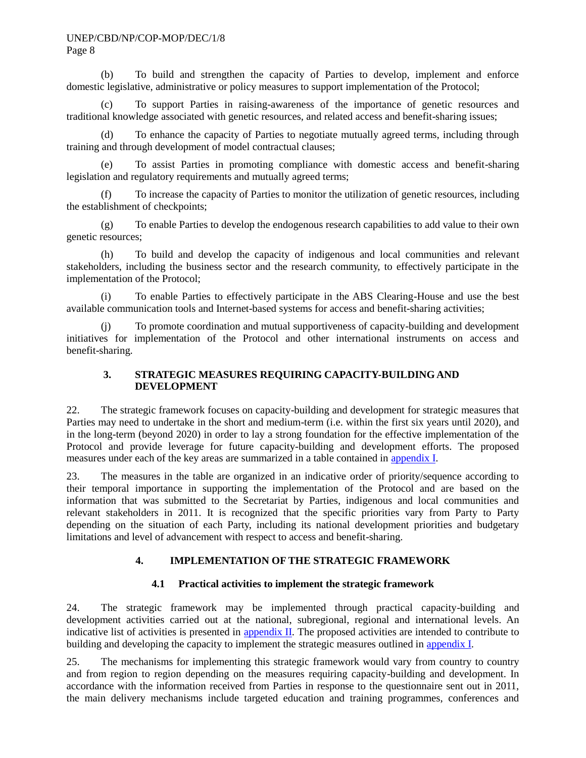(b) To build and strengthen the capacity of Parties to develop, implement and enforce domestic legislative, administrative or policy measures to support implementation of the Protocol;

(c) To support Parties in raising-awareness of the importance of genetic resources and traditional knowledge associated with genetic resources, and related access and benefit-sharing issues;

(d) To enhance the capacity of Parties to negotiate mutually agreed terms, including through training and through development of model contractual clauses;

(e) To assist Parties in promoting compliance with domestic access and benefit-sharing legislation and regulatory requirements and mutually agreed terms;

(f) To increase the capacity of Parties to monitor the utilization of genetic resources, including the establishment of checkpoints;

(g) To enable Parties to develop the endogenous research capabilities to add value to their own genetic resources;

(h) To build and develop the capacity of indigenous and local communities and relevant stakeholders, including the business sector and the research community, to effectively participate in the implementation of the Protocol;

(i) To enable Parties to effectively participate in the ABS Clearing-House and use the best available communication tools and Internet-based systems for access and benefit-sharing activities;

(j) To promote coordination and mutual supportiveness of capacity-building and development initiatives for implementation of the Protocol and other international instruments on access and benefit-sharing.

## **3. STRATEGIC MEASURES REQUIRING CAPACITY-BUILDING AND DEVELOPMENT**

22. The strategic framework focuses on capacity-building and development for strategic measures that Parties may need to undertake in the short and medium-term (i.e. within the first six years until 2020), and in the long-term (beyond 2020) in order to lay a strong foundation for the effective implementation of the Protocol and provide leverage for future capacity-building and development efforts. The proposed measures under each of the key areas are summarized in a table contained in [appendix I.](#page-12-0)

23. The measures in the table are organized in an indicative order of priority/sequence according to their temporal importance in supporting the implementation of the Protocol and are based on the information that was submitted to the Secretariat by Parties, indigenous and local communities and relevant stakeholders in 2011. It is recognized that the specific priorities vary from Party to Party depending on the situation of each Party, including its national development priorities and budgetary limitations and level of advancement with respect to access and benefit-sharing.

# **4. IMPLEMENTATION OF THE STRATEGIC FRAMEWORK**

## **4.1 Practical activities to implement the strategic framework**

24. The strategic framework may be implemented through practical capacity-building and development activities carried out at the national, subregional, regional and international levels. An indicative list of activities is presented in **appendix II**. The proposed activities are intended to contribute to building and developing the capacity to implement the strategic measures outlined in [appendix](#page-12-0) I.

25. The mechanisms for implementing this strategic framework would vary from country to country and from region to region depending on the measures requiring capacity-building and development. In accordance with the information received from Parties in response to the questionnaire sent out in 2011, the main delivery mechanisms include targeted education and training programmes, conferences and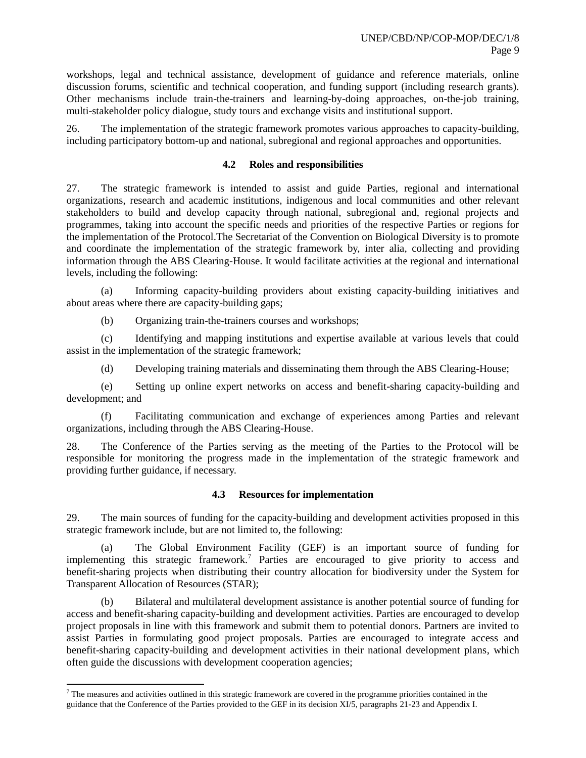workshops, legal and technical assistance, development of guidance and reference materials, online discussion forums, scientific and technical cooperation, and funding support (including research grants). Other mechanisms include train-the-trainers and learning-by-doing approaches, on-the-job training, multi-stakeholder policy dialogue, study tours and exchange visits and institutional support.

26. The implementation of the strategic framework promotes various approaches to capacity-building, including participatory bottom-up and national, subregional and regional approaches and opportunities.

#### **4.2 Roles and responsibilities**

27. The strategic framework is intended to assist and guide Parties, regional and international organizations, research and academic institutions, indigenous and local communities and other relevant stakeholders to build and develop capacity through national, subregional and, regional projects and programmes, taking into account the specific needs and priorities of the respective Parties or regions for the implementation of the Protocol.The Secretariat of the Convention on Biological Diversity is to promote and coordinate the implementation of the strategic framework by, inter alia, collecting and providing information through the ABS Clearing-House. It would facilitate activities at the regional and international levels, including the following:

(a) Informing capacity-building providers about existing capacity-building initiatives and about areas where there are capacity-building gaps;

(b) Organizing train-the-trainers courses and workshops;

(c) Identifying and mapping institutions and expertise available at various levels that could assist in the implementation of the strategic framework;

(d) Developing training materials and disseminating them through the ABS Clearing-House;

(e) Setting up online expert networks on access and benefit-sharing capacity-building and development; and

(f) Facilitating communication and exchange of experiences among Parties and relevant organizations, including through the ABS Clearing-House.

28. The Conference of the Parties serving as the meeting of the Parties to the Protocol will be responsible for monitoring the progress made in the implementation of the strategic framework and providing further guidance, if necessary.

#### **4.3 Resources for implementation**

29. The main sources of funding for the capacity-building and development activities proposed in this strategic framework include, but are not limited to, the following:

(a) The Global Environment Facility (GEF) is an important source of funding for implementing this strategic framework.<sup>7</sup> Parties are encouraged to give priority to access and benefit-sharing projects when distributing their country allocation for biodiversity under the System for Transparent Allocation of Resources (STAR);

(b) Bilateral and multilateral development assistance is another potential source of funding for access and benefit-sharing capacity-building and development activities. Parties are encouraged to develop project proposals in line with this framework and submit them to potential donors. Partners are invited to assist Parties in formulating good project proposals. Parties are encouraged to integrate access and benefit-sharing capacity-building and development activities in their national development plans, which often guide the discussions with development cooperation agencies;

l

 $7$  The measures and activities outlined in this strategic framework are covered in the programme priorities contained in the guidance that the Conference of the Parties provided to the GEF in its decision XI/5, paragraphs 21-23 and Appendix I.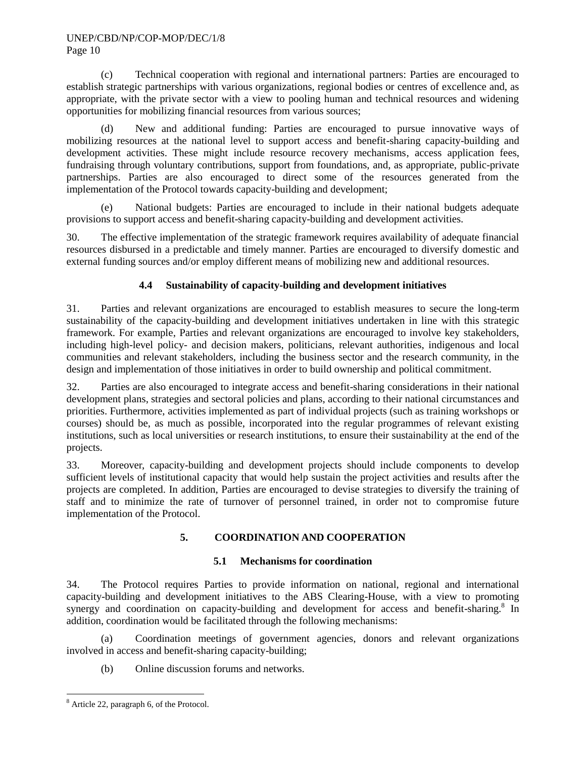(c) Technical cooperation with regional and international partners: Parties are encouraged to establish strategic partnerships with various organizations, regional bodies or centres of excellence and, as appropriate, with the private sector with a view to pooling human and technical resources and widening opportunities for mobilizing financial resources from various sources;

(d) New and additional funding: Parties are encouraged to pursue innovative ways of mobilizing resources at the national level to support access and benefit-sharing capacity-building and development activities. These might include resource recovery mechanisms, access application fees, fundraising through voluntary contributions, support from foundations, and, as appropriate, public-private partnerships. Parties are also encouraged to direct some of the resources generated from the implementation of the Protocol towards capacity-building and development;

(e) National budgets: Parties are encouraged to include in their national budgets adequate provisions to support access and benefit-sharing capacity-building and development activities.

30. The effective implementation of the strategic framework requires availability of adequate financial resources disbursed in a predictable and timely manner. Parties are encouraged to diversify domestic and external funding sources and/or employ different means of mobilizing new and additional resources.

# **4.4 Sustainability of capacity-building and development initiatives**

31. Parties and relevant organizations are encouraged to establish measures to secure the long-term sustainability of the capacity-building and development initiatives undertaken in line with this strategic framework. For example, Parties and relevant organizations are encouraged to involve key stakeholders, including high-level policy- and decision makers, politicians, relevant authorities, indigenous and local communities and relevant stakeholders, including the business sector and the research community, in the design and implementation of those initiatives in order to build ownership and political commitment.

32. Parties are also encouraged to integrate access and benefit-sharing considerations in their national development plans, strategies and sectoral policies and plans, according to their national circumstances and priorities. Furthermore, activities implemented as part of individual projects (such as training workshops or courses) should be, as much as possible, incorporated into the regular programmes of relevant existing institutions, such as local universities or research institutions, to ensure their sustainability at the end of the projects.

33. Moreover, capacity-building and development projects should include components to develop sufficient levels of institutional capacity that would help sustain the project activities and results after the projects are completed. In addition, Parties are encouraged to devise strategies to diversify the training of staff and to minimize the rate of turnover of personnel trained, in order not to compromise future implementation of the Protocol.

# **5. COORDINATION AND COOPERATION**

## **5.1 Mechanisms for coordination**

34. The Protocol requires Parties to provide information on national, regional and international capacity-building and development initiatives to the ABS Clearing-House, with a view to promoting synergy and coordination on capacity-building and development for access and benefit-sharing.<sup>8</sup> In addition, coordination would be facilitated through the following mechanisms:

(a) Coordination meetings of government agencies, donors and relevant organizations involved in access and benefit-sharing capacity-building;

(b) Online discussion forums and networks.

l <sup>8</sup> Article 22, paragraph 6, of the Protocol.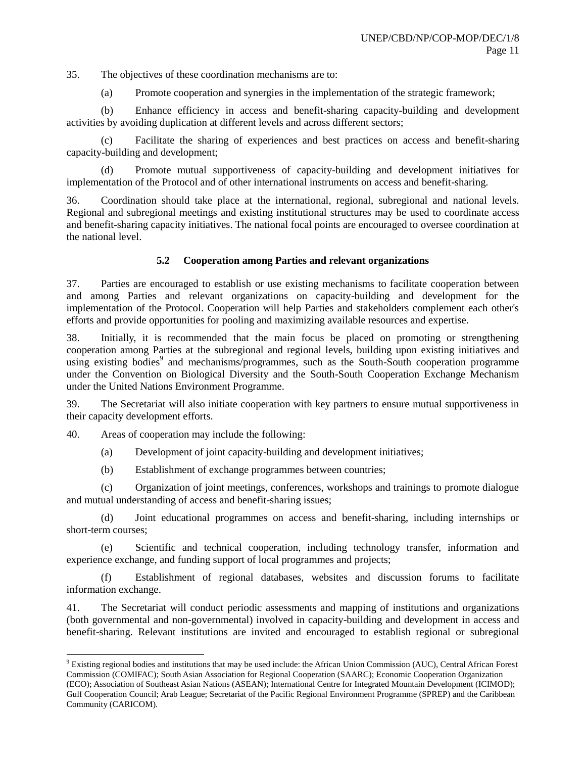35. The objectives of these coordination mechanisms are to:

(a) Promote cooperation and synergies in the implementation of the strategic framework;

(b) Enhance efficiency in access and benefit-sharing capacity-building and development activities by avoiding duplication at different levels and across different sectors;

(c) Facilitate the sharing of experiences and best practices on access and benefit-sharing capacity-building and development;

(d) Promote mutual supportiveness of capacity-building and development initiatives for implementation of the Protocol and of other international instruments on access and benefit-sharing.

36. Coordination should take place at the international, regional, subregional and national levels. Regional and subregional meetings and existing institutional structures may be used to coordinate access and benefit-sharing capacity initiatives. The national focal points are encouraged to oversee coordination at the national level.

## **5.2 Cooperation among Parties and relevant organizations**

37. Parties are encouraged to establish or use existing mechanisms to facilitate cooperation between and among Parties and relevant organizations on capacity-building and development for the implementation of the Protocol. Cooperation will help Parties and stakeholders complement each other's efforts and provide opportunities for pooling and maximizing available resources and expertise.

38. Initially, it is recommended that the main focus be placed on promoting or strengthening cooperation among Parties at the subregional and regional levels, building upon existing initiatives and using existing bodies<sup>9</sup> and mechanisms/programmes, such as the South-South cooperation programme under the Convention on Biological Diversity and the South-South Cooperation Exchange Mechanism under the United Nations Environment Programme.

39. The Secretariat will also initiate cooperation with key partners to ensure mutual supportiveness in their capacity development efforts.

40. Areas of cooperation may include the following:

 $\overline{a}$ 

(a) Development of joint capacity-building and development initiatives;

(b) Establishment of exchange programmes between countries;

(c) Organization of joint meetings, conferences, workshops and trainings to promote dialogue and mutual understanding of access and benefit-sharing issues;

(d) Joint educational programmes on access and benefit-sharing, including internships or short-term courses;

(e) Scientific and technical cooperation, including technology transfer, information and experience exchange, and funding support of local programmes and projects;

(f) Establishment of regional databases, websites and discussion forums to facilitate information exchange.

41. The Secretariat will conduct periodic assessments and mapping of institutions and organizations (both governmental and non-governmental) involved in capacity-building and development in access and benefit-sharing. Relevant institutions are invited and encouraged to establish regional or subregional

 $9$  Existing regional bodies and institutions that may be used include: the African Union Commission (AUC), Central African Forest Commission (COMIFAC); South Asian Association for Regional Cooperation (SAARC); Economic Cooperation Organization (ECO); Association of Southeast Asian Nations (ASEAN); International Centre for Integrated Mountain Development (ICIMOD); Gulf Cooperation Council; Arab League; Secretariat of the Pacific Regional Environment Programme (SPREP) and the Caribbean Community (CARICOM).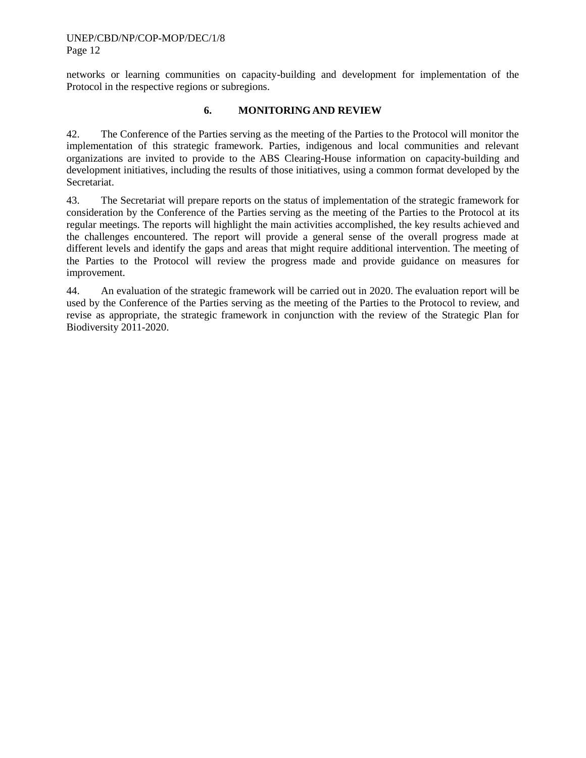networks or learning communities on capacity-building and development for implementation of the Protocol in the respective regions or subregions.

## **6. MONITORING AND REVIEW**

42. The Conference of the Parties serving as the meeting of the Parties to the Protocol will monitor the implementation of this strategic framework. Parties, indigenous and local communities and relevant organizations are invited to provide to the ABS Clearing-House information on capacity-building and development initiatives, including the results of those initiatives, using a common format developed by the Secretariat.

43. The Secretariat will prepare reports on the status of implementation of the strategic framework for consideration by the Conference of the Parties serving as the meeting of the Parties to the Protocol at its regular meetings. The reports will highlight the main activities accomplished, the key results achieved and the challenges encountered. The report will provide a general sense of the overall progress made at different levels and identify the gaps and areas that might require additional intervention. The meeting of the Parties to the Protocol will review the progress made and provide guidance on measures for improvement.

44. An evaluation of the strategic framework will be carried out in 2020. The evaluation report will be used by the Conference of the Parties serving as the meeting of the Parties to the Protocol to review, and revise as appropriate, the strategic framework in conjunction with the review of the Strategic Plan for Biodiversity 2011-2020.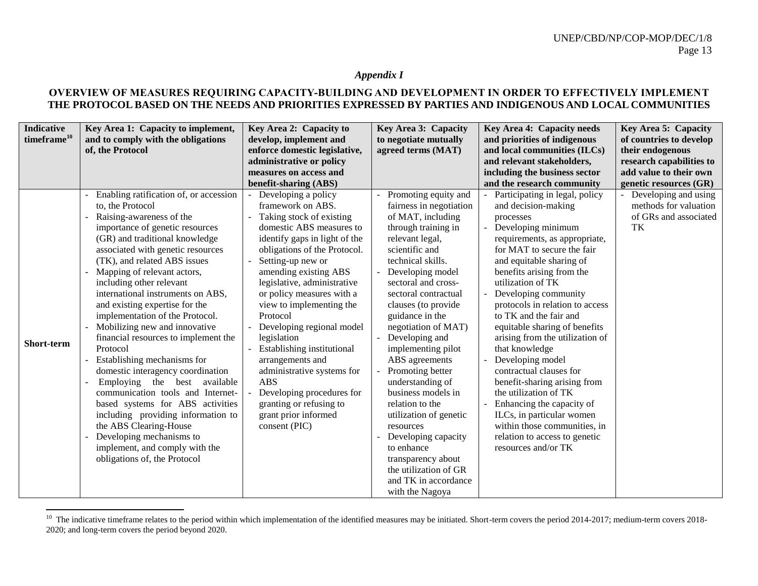## *Appendix I*

## **OVERVIEW OF MEASURES REQUIRING CAPACITY-BUILDING AND DEVELOPMENT IN ORDER TO EFFECTIVELY IMPLEMENT THE PROTOCOL BASED ON THE NEEDS AND PRIORITIES EXPRESSED BY PARTIES AND INDIGENOUS AND LOCAL COMMUNITIES**

<span id="page-12-0"></span>

| <b>Indicative</b><br>timeframe <sup>10</sup> | Key Area 1: Capacity to implement,<br>and to comply with the obligations                                                                                                                                                                                                                                                                                                                                                                                                                                                                                                                                                                                                                                                                                                                                                              | Key Area 2: Capacity to<br>develop, implement and                                                                                                                                                                                                                                                                                                                                                                                                                                                                                                              | Key Area 3: Capacity<br>to negotiate mutually                                                                                                                                                                                                                                                                                                                                                                                                                                                                                                                                                              | Key Area 4: Capacity needs<br>and priorities of indigenous                                                                                                                                                                                                                                                                                                                                                                                                                                                                                                                                                                                                                 | <b>Key Area 5: Capacity</b><br>of countries to develop                                           |
|----------------------------------------------|---------------------------------------------------------------------------------------------------------------------------------------------------------------------------------------------------------------------------------------------------------------------------------------------------------------------------------------------------------------------------------------------------------------------------------------------------------------------------------------------------------------------------------------------------------------------------------------------------------------------------------------------------------------------------------------------------------------------------------------------------------------------------------------------------------------------------------------|----------------------------------------------------------------------------------------------------------------------------------------------------------------------------------------------------------------------------------------------------------------------------------------------------------------------------------------------------------------------------------------------------------------------------------------------------------------------------------------------------------------------------------------------------------------|------------------------------------------------------------------------------------------------------------------------------------------------------------------------------------------------------------------------------------------------------------------------------------------------------------------------------------------------------------------------------------------------------------------------------------------------------------------------------------------------------------------------------------------------------------------------------------------------------------|----------------------------------------------------------------------------------------------------------------------------------------------------------------------------------------------------------------------------------------------------------------------------------------------------------------------------------------------------------------------------------------------------------------------------------------------------------------------------------------------------------------------------------------------------------------------------------------------------------------------------------------------------------------------------|--------------------------------------------------------------------------------------------------|
|                                              | of, the Protocol                                                                                                                                                                                                                                                                                                                                                                                                                                                                                                                                                                                                                                                                                                                                                                                                                      | enforce domestic legislative,<br>administrative or policy<br>measures on access and<br>benefit-sharing (ABS)                                                                                                                                                                                                                                                                                                                                                                                                                                                   | agreed terms (MAT)                                                                                                                                                                                                                                                                                                                                                                                                                                                                                                                                                                                         | and local communities (ILCs)<br>and relevant stakeholders,<br>including the business sector<br>and the research community                                                                                                                                                                                                                                                                                                                                                                                                                                                                                                                                                  | their endogenous<br>research capabilities to<br>add value to their own<br>genetic resources (GR) |
| Short-term                                   | Enabling ratification of, or accession<br>to, the Protocol<br>Raising-awareness of the<br>importance of genetic resources<br>(GR) and traditional knowledge<br>associated with genetic resources<br>(TK), and related ABS issues<br>Mapping of relevant actors,<br>including other relevant<br>international instruments on ABS,<br>and existing expertise for the<br>implementation of the Protocol.<br>Mobilizing new and innovative<br>financial resources to implement the<br>Protocol<br>Establishing mechanisms for<br>domestic interagency coordination<br>Employing the best available<br>communication tools and Internet-<br>based systems for ABS activities<br>including providing information to<br>the ABS Clearing-House<br>Developing mechanisms to<br>implement, and comply with the<br>obligations of, the Protocol | Developing a policy<br>framework on ABS.<br>Taking stock of existing<br>domestic ABS measures to<br>identify gaps in light of the<br>obligations of the Protocol.<br>Setting-up new or<br>amending existing ABS<br>legislative, administrative<br>or policy measures with a<br>view to implementing the<br>Protocol<br>Developing regional model<br>legislation<br>Establishing institutional<br>arrangements and<br>administrative systems for<br><b>ABS</b><br>Developing procedures for<br>granting or refusing to<br>grant prior informed<br>consent (PIC) | Promoting equity and<br>fairness in negotiation<br>of MAT, including<br>through training in<br>relevant legal,<br>scientific and<br>technical skills.<br>Developing model<br>sectoral and cross-<br>sectoral contractual<br>clauses (to provide<br>guidance in the<br>negotiation of MAT)<br>Developing and<br>implementing pilot<br>ABS agreements<br>Promoting better<br>understanding of<br>business models in<br>relation to the<br>utilization of genetic<br>resources<br>Developing capacity<br>to enhance<br>transparency about<br>the utilization of GR<br>and TK in accordance<br>with the Nagoya | Participating in legal, policy<br>and decision-making<br>processes<br>Developing minimum<br>requirements, as appropriate,<br>for MAT to secure the fair<br>and equitable sharing of<br>benefits arising from the<br>utilization of TK<br>Developing community<br>protocols in relation to access<br>to TK and the fair and<br>equitable sharing of benefits<br>arising from the utilization of<br>that knowledge<br>Developing model<br>contractual clauses for<br>benefit-sharing arising from<br>the utilization of TK<br>Enhancing the capacity of<br>ILCs, in particular women<br>within those communities, in<br>relation to access to genetic<br>resources and/or TK | Developing and using<br>methods for valuation<br>of GRs and associated<br>TK                     |

<sup>&</sup>lt;sup>10</sup> The indicative timeframe relates to the period within which implementation of the identified measures may be initiated. Short-term covers the period 2014-2017; medium-term covers 2018-2020; and long-term covers the period beyond 2020.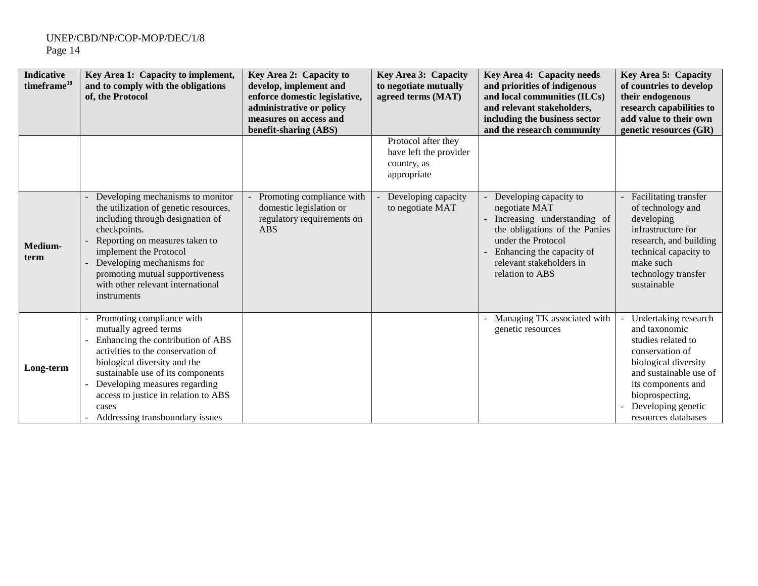| <b>Indicative</b><br>timeframe <sup>10</sup> | Key Area 1: Capacity to implement,<br>and to comply with the obligations<br>of, the Protocol                                                                                                                                                                                                                           | Key Area 2: Capacity to<br>develop, implement and<br>enforce domestic legislative,<br>administrative or policy<br>measures on access and<br>benefit-sharing (ABS) | <b>Key Area 3: Capacity</b><br>to negotiate mutually<br>agreed terms (MAT)  | Key Area 4: Capacity needs<br>and priorities of indigenous<br>and local communities (ILCs)<br>and relevant stakeholders,<br>including the business sector<br>and the research community                    | Key Area 5: Capacity<br>of countries to develop<br>their endogenous<br>research capabilities to<br>add value to their own<br>genetic resources (GR)                                                                    |
|----------------------------------------------|------------------------------------------------------------------------------------------------------------------------------------------------------------------------------------------------------------------------------------------------------------------------------------------------------------------------|-------------------------------------------------------------------------------------------------------------------------------------------------------------------|-----------------------------------------------------------------------------|------------------------------------------------------------------------------------------------------------------------------------------------------------------------------------------------------------|------------------------------------------------------------------------------------------------------------------------------------------------------------------------------------------------------------------------|
|                                              |                                                                                                                                                                                                                                                                                                                        |                                                                                                                                                                   | Protocol after they<br>have left the provider<br>country, as<br>appropriate |                                                                                                                                                                                                            |                                                                                                                                                                                                                        |
| Medium-<br>term                              | Developing mechanisms to monitor<br>the utilization of genetic resources,<br>including through designation of<br>checkpoints.<br>Reporting on measures taken to<br>implement the Protocol<br>Developing mechanisms for<br>promoting mutual supportiveness<br>with other relevant international<br>instruments          | Promoting compliance with<br>domestic legislation or<br>regulatory requirements on<br><b>ABS</b>                                                                  | Developing capacity<br>to negotiate MAT                                     | Developing capacity to<br>negotiate MAT<br>Increasing understanding of<br>the obligations of the Parties<br>under the Protocol<br>Enhancing the capacity of<br>relevant stakeholders in<br>relation to ABS | <b>Facilitating transfer</b><br>of technology and<br>developing<br>infrastructure for<br>research, and building<br>technical capacity to<br>make such<br>technology transfer<br>sustainable                            |
| Long-term                                    | Promoting compliance with<br>mutually agreed terms<br>Enhancing the contribution of ABS<br>activities to the conservation of<br>biological diversity and the<br>sustainable use of its components<br>Developing measures regarding<br>access to justice in relation to ABS<br>cases<br>Addressing transboundary issues |                                                                                                                                                                   |                                                                             | Managing TK associated with<br>genetic resources                                                                                                                                                           | Undertaking research<br>and taxonomic<br>studies related to<br>conservation of<br>biological diversity<br>and sustainable use of<br>its components and<br>bioprospecting,<br>Developing genetic<br>resources databases |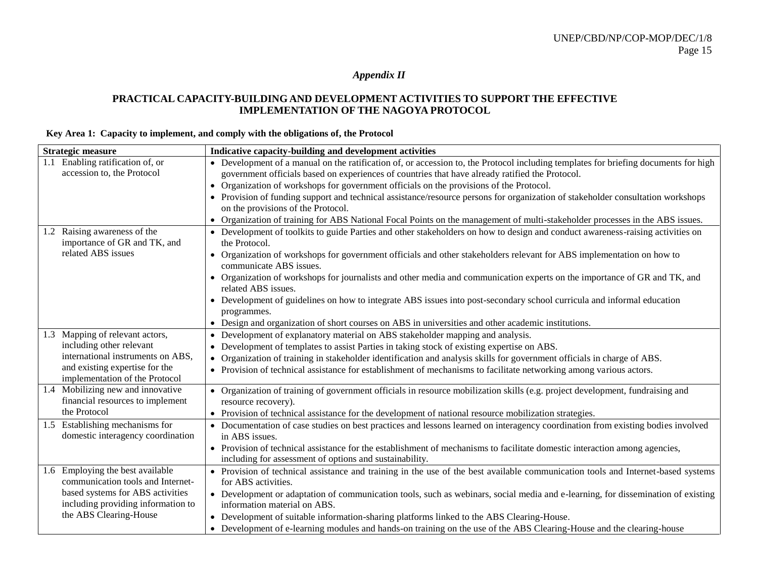*Appendix II*

## **PRACTICAL CAPACITY-BUILDING AND DEVELOPMENT ACTIVITIES TO SUPPORT THE EFFECTIVE IMPLEMENTATION OF THE NAGOYA PROTOCOL**

## **Key Area 1: Capacity to implement, and comply with the obligations of, the Protocol**

<span id="page-14-0"></span>

| <b>Strategic measure</b>                                                 | Indicative capacity-building and development activities                                                                                                                                                                                |
|--------------------------------------------------------------------------|----------------------------------------------------------------------------------------------------------------------------------------------------------------------------------------------------------------------------------------|
| 1.1 Enabling ratification of, or<br>accession to, the Protocol           | • Development of a manual on the ratification of, or accession to, the Protocol including templates for briefing documents for high<br>government officials based on experiences of countries that have already ratified the Protocol. |
|                                                                          | • Organization of workshops for government officials on the provisions of the Protocol.                                                                                                                                                |
|                                                                          | • Provision of funding support and technical assistance/resource persons for organization of stakeholder consultation workshops<br>on the provisions of the Protocol.                                                                  |
|                                                                          | • Organization of training for ABS National Focal Points on the management of multi-stakeholder processes in the ABS issues.                                                                                                           |
| 1.2 Raising awareness of the<br>importance of GR and TK, and             | • Development of toolkits to guide Parties and other stakeholders on how to design and conduct awareness-raising activities on<br>the Protocol.                                                                                        |
| related ABS issues                                                       | • Organization of workshops for government officials and other stakeholders relevant for ABS implementation on how to<br>communicate ABS issues.                                                                                       |
|                                                                          | • Organization of workshops for journalists and other media and communication experts on the importance of GR and TK, and<br>related ABS issues.                                                                                       |
|                                                                          | • Development of guidelines on how to integrate ABS issues into post-secondary school curricula and informal education<br>programmes.                                                                                                  |
|                                                                          | • Design and organization of short courses on ABS in universities and other academic institutions.                                                                                                                                     |
| 1.3 Mapping of relevant actors,                                          | Development of explanatory material on ABS stakeholder mapping and analysis.<br>$\bullet$                                                                                                                                              |
| including other relevant                                                 | Development of templates to assist Parties in taking stock of existing expertise on ABS.<br>$\bullet$                                                                                                                                  |
| international instruments on ABS,                                        | Organization of training in stakeholder identification and analysis skills for government officials in charge of ABS.                                                                                                                  |
| and existing expertise for the<br>implementation of the Protocol         | • Provision of technical assistance for establishment of mechanisms to facilitate networking among various actors.                                                                                                                     |
| 1.4 Mobilizing new and innovative<br>financial resources to implement    | • Organization of training of government officials in resource mobilization skills (e.g. project development, fundraising and<br>resource recovery).                                                                                   |
| the Protocol                                                             | • Provision of technical assistance for the development of national resource mobilization strategies.                                                                                                                                  |
| 1.5 Establishing mechanisms for<br>domestic interagency coordination     | • Documentation of case studies on best practices and lessons learned on interagency coordination from existing bodies involved<br>in ABS issues.                                                                                      |
|                                                                          | • Provision of technical assistance for the establishment of mechanisms to facilitate domestic interaction among agencies,<br>including for assessment of options and sustainability.                                                  |
| Employing the best available<br>1.6<br>communication tools and Internet- | • Provision of technical assistance and training in the use of the best available communication tools and Internet-based systems<br>for ABS activities.                                                                                |
| based systems for ABS activities<br>including providing information to   | • Development or adaptation of communication tools, such as webinars, social media and e-learning, for dissemination of existing<br>information material on ABS.                                                                       |
| the ABS Clearing-House                                                   | • Development of suitable information-sharing platforms linked to the ABS Clearing-House.                                                                                                                                              |
|                                                                          | • Development of e-learning modules and hands-on training on the use of the ABS Clearing-House and the clearing-house                                                                                                                  |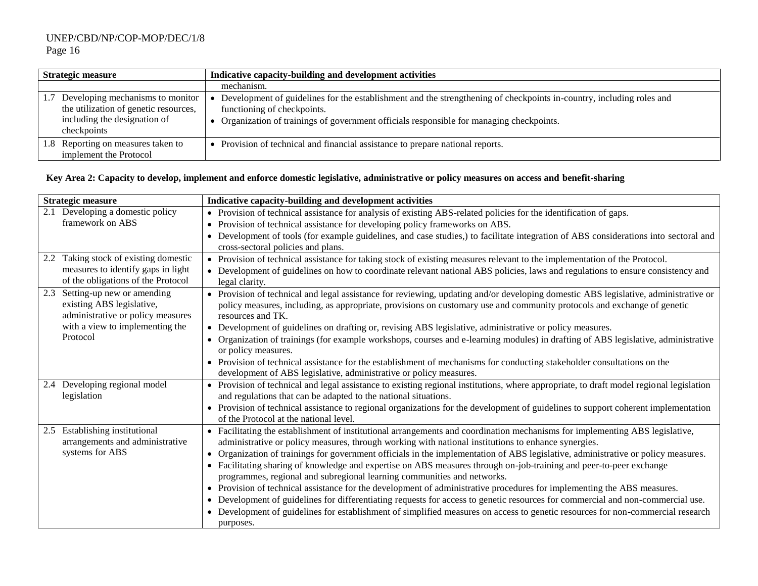| <b>Strategic measure</b>                                                                                                 | Indicative capacity-building and development activities                                                                                                                                                                                        |  |  |
|--------------------------------------------------------------------------------------------------------------------------|------------------------------------------------------------------------------------------------------------------------------------------------------------------------------------------------------------------------------------------------|--|--|
|                                                                                                                          | mechanism.                                                                                                                                                                                                                                     |  |  |
| Developing mechanisms to monitor<br>the utilization of genetic resources,<br>including the designation of<br>checkpoints | Development of guidelines for the establishment and the strengthening of checkpoints in-country, including roles and<br>functioning of checkpoints.<br>Organization of trainings of government officials responsible for managing checkpoints. |  |  |
| Reporting on measures taken to<br>1.8<br>implement the Protocol                                                          | Provision of technical and financial assistance to prepare national reports.                                                                                                                                                                   |  |  |

## **Key Area 2: Capacity to develop, implement and enforce domestic legislative, administrative or policy measures on access and benefit-sharing**

| <b>Strategic measure</b>                                                                            | Indicative capacity-building and development activities                                                                                                                                                                                                                                                                           |
|-----------------------------------------------------------------------------------------------------|-----------------------------------------------------------------------------------------------------------------------------------------------------------------------------------------------------------------------------------------------------------------------------------------------------------------------------------|
| Developing a domestic policy<br>2.1                                                                 | • Provision of technical assistance for analysis of existing ABS-related policies for the identification of gaps.                                                                                                                                                                                                                 |
| framework on ABS                                                                                    | • Provision of technical assistance for developing policy frameworks on ABS.                                                                                                                                                                                                                                                      |
|                                                                                                     | • Development of tools (for example guidelines, and case studies,) to facilitate integration of ABS considerations into sectoral and<br>cross-sectoral policies and plans.                                                                                                                                                        |
| Taking stock of existing domestic<br>2.2                                                            | • Provision of technical assistance for taking stock of existing measures relevant to the implementation of the Protocol.                                                                                                                                                                                                         |
| measures to identify gaps in light<br>of the obligations of the Protocol                            | • Development of guidelines on how to coordinate relevant national ABS policies, laws and regulations to ensure consistency and<br>legal clarity.                                                                                                                                                                                 |
| 2.3<br>Setting-up new or amending<br>existing ABS legislative,<br>administrative or policy measures | • Provision of technical and legal assistance for reviewing, updating and/or developing domestic ABS legislative, administrative or<br>policy measures, including, as appropriate, provisions on customary use and community protocols and exchange of genetic<br>resources and TK.                                               |
| with a view to implementing the                                                                     | • Development of guidelines on drafting or, revising ABS legislative, administrative or policy measures.                                                                                                                                                                                                                          |
| Protocol                                                                                            | • Organization of trainings (for example workshops, courses and e-learning modules) in drafting of ABS legislative, administrative<br>or policy measures.                                                                                                                                                                         |
|                                                                                                     | • Provision of technical assistance for the establishment of mechanisms for conducting stakeholder consultations on the<br>development of ABS legislative, administrative or policy measures.                                                                                                                                     |
| 2.4 Developing regional model<br>legislation                                                        | • Provision of technical and legal assistance to existing regional institutions, where appropriate, to draft model regional legislation<br>and regulations that can be adapted to the national situations.                                                                                                                        |
|                                                                                                     | • Provision of technical assistance to regional organizations for the development of guidelines to support coherent implementation<br>of the Protocol at the national level.                                                                                                                                                      |
| 2.5 Establishing institutional<br>arrangements and administrative                                   | • Facilitating the establishment of institutional arrangements and coordination mechanisms for implementing ABS legislative,<br>administrative or policy measures, through working with national institutions to enhance synergies.                                                                                               |
| systems for ABS                                                                                     | Organization of trainings for government officials in the implementation of ABS legislative, administrative or policy measures.<br>• Facilitating sharing of knowledge and expertise on ABS measures through on-job-training and peer-to-peer exchange<br>programmes, regional and subregional learning communities and networks. |
|                                                                                                     | • Provision of technical assistance for the development of administrative procedures for implementing the ABS measures.<br>• Development of guidelines for differentiating requests for access to genetic resources for commercial and non-commercial use.                                                                        |
|                                                                                                     | Development of guidelines for establishment of simplified measures on access to genetic resources for non-commercial research<br>purposes.                                                                                                                                                                                        |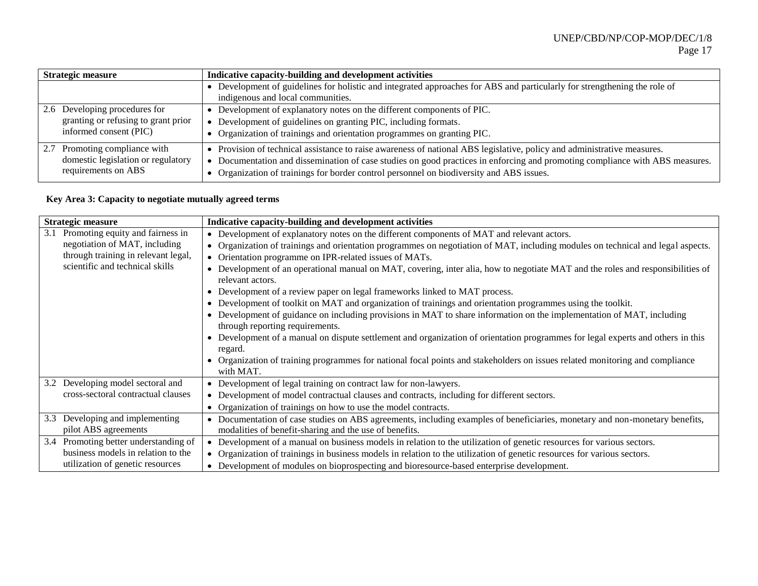| <b>Strategic measure</b>                                                                       | Indicative capacity-building and development activities                                                                                                                                                                                                                                                                                       |  |  |
|------------------------------------------------------------------------------------------------|-----------------------------------------------------------------------------------------------------------------------------------------------------------------------------------------------------------------------------------------------------------------------------------------------------------------------------------------------|--|--|
|                                                                                                | Development of guidelines for holistic and integrated approaches for ABS and particularly for strengthening the role of<br>indigenous and local communities.                                                                                                                                                                                  |  |  |
| 2.6 Developing procedures for<br>granting or refusing to grant prior<br>informed consent (PIC) | Development of explanatory notes on the different components of PIC.<br>Development of guidelines on granting PIC, including formats.<br>Organization of trainings and orientation programmes on granting PIC.                                                                                                                                |  |  |
| Promoting compliance with<br>2.7<br>domestic legislation or regulatory<br>requirements on ABS  | Provision of technical assistance to raise awareness of national ABS legislative, policy and administrative measures.<br>Documentation and dissemination of case studies on good practices in enforcing and promoting compliance with ABS measures.<br>Organization of trainings for border control personnel on biodiversity and ABS issues. |  |  |

# **Key Area 3: Capacity to negotiate mutually agreed terms**

| <b>Strategic measure</b>                                                                                                                           | Indicative capacity-building and development activities                                                                                                                                                                                                                                                                                                                                                                                                                                                                                                                                                                                                                                                                                                                                                                                                                                                                                                                                                                                                                                          |
|----------------------------------------------------------------------------------------------------------------------------------------------------|--------------------------------------------------------------------------------------------------------------------------------------------------------------------------------------------------------------------------------------------------------------------------------------------------------------------------------------------------------------------------------------------------------------------------------------------------------------------------------------------------------------------------------------------------------------------------------------------------------------------------------------------------------------------------------------------------------------------------------------------------------------------------------------------------------------------------------------------------------------------------------------------------------------------------------------------------------------------------------------------------------------------------------------------------------------------------------------------------|
| Promoting equity and fairness in<br>3.1<br>negotiation of MAT, including<br>through training in relevant legal,<br>scientific and technical skills | • Development of explanatory notes on the different components of MAT and relevant actors.<br>• Organization of trainings and orientation programmes on negotiation of MAT, including modules on technical and legal aspects.<br>• Orientation programme on IPR-related issues of MATs.<br>• Development of an operational manual on MAT, covering, inter alia, how to negotiate MAT and the roles and responsibilities of<br>relevant actors.<br>• Development of a review paper on legal frameworks linked to MAT process.<br>• Development of toolkit on MAT and organization of trainings and orientation programmes using the toolkit.<br>• Development of guidance on including provisions in MAT to share information on the implementation of MAT, including<br>through reporting requirements.<br>• Development of a manual on dispute settlement and organization of orientation programmes for legal experts and others in this<br>regard.<br>Organization of training programmes for national focal points and stakeholders on issues related monitoring and compliance<br>with MAT. |
| Developing model sectoral and<br>3.2<br>cross-sectoral contractual clauses                                                                         | • Development of legal training on contract law for non-lawyers.<br>• Development of model contractual clauses and contracts, including for different sectors.<br>• Organization of trainings on how to use the model contracts.                                                                                                                                                                                                                                                                                                                                                                                                                                                                                                                                                                                                                                                                                                                                                                                                                                                                 |
| Developing and implementing<br>3.3<br>pilot ABS agreements                                                                                         | • Documentation of case studies on ABS agreements, including examples of beneficiaries, monetary and non-monetary benefits,<br>modalities of benefit-sharing and the use of benefits.                                                                                                                                                                                                                                                                                                                                                                                                                                                                                                                                                                                                                                                                                                                                                                                                                                                                                                            |
| Promoting better understanding of<br>3.4<br>business models in relation to the<br>utilization of genetic resources                                 | • Development of a manual on business models in relation to the utilization of genetic resources for various sectors.<br>• Organization of trainings in business models in relation to the utilization of genetic resources for various sectors.<br>• Development of modules on bioprospecting and bioresource-based enterprise development.                                                                                                                                                                                                                                                                                                                                                                                                                                                                                                                                                                                                                                                                                                                                                     |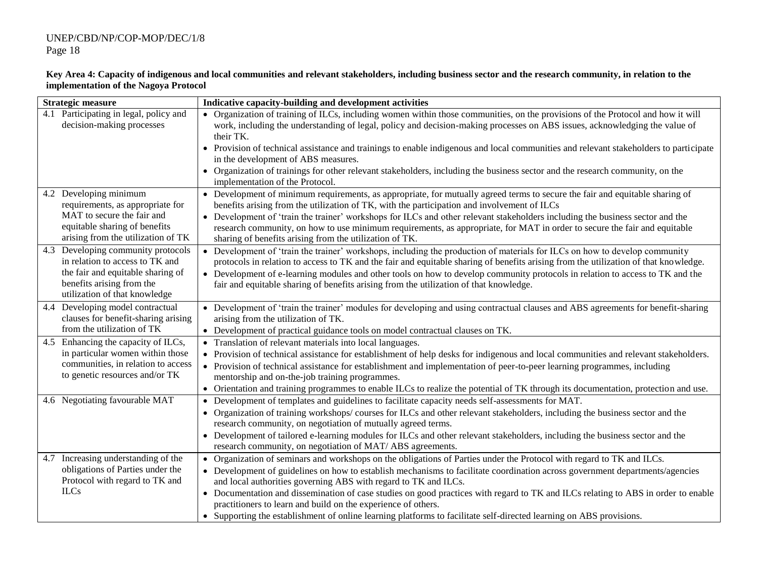| <b>Strategic measure</b>                                                                                                                                                 | Indicative capacity-building and development activities                                                                                                                                                                                                                                                                                                                                                                                                                                                                                                                                                                                                          |
|--------------------------------------------------------------------------------------------------------------------------------------------------------------------------|------------------------------------------------------------------------------------------------------------------------------------------------------------------------------------------------------------------------------------------------------------------------------------------------------------------------------------------------------------------------------------------------------------------------------------------------------------------------------------------------------------------------------------------------------------------------------------------------------------------------------------------------------------------|
| 4.1 Participating in legal, policy and<br>decision-making processes                                                                                                      | • Organization of training of ILCs, including women within those communities, on the provisions of the Protocol and how it will<br>work, including the understanding of legal, policy and decision-making processes on ABS issues, acknowledging the value of<br>their TK.                                                                                                                                                                                                                                                                                                                                                                                       |
|                                                                                                                                                                          | • Provision of technical assistance and trainings to enable indigenous and local communities and relevant stakeholders to participate<br>in the development of ABS measures.<br>Organization of trainings for other relevant stakeholders, including the business sector and the research community, on the<br>implementation of the Protocol.                                                                                                                                                                                                                                                                                                                   |
| 4.2 Developing minimum<br>requirements, as appropriate for<br>MAT to secure the fair and<br>equitable sharing of benefits<br>arising from the utilization of TK          | • Development of minimum requirements, as appropriate, for mutually agreed terms to secure the fair and equitable sharing of<br>benefits arising from the utilization of TK, with the participation and involvement of ILCs<br>Development of 'train the trainer' workshops for ILCs and other relevant stakeholders including the business sector and the<br>$\bullet$<br>research community, on how to use minimum requirements, as appropriate, for MAT in order to secure the fair and equitable<br>sharing of benefits arising from the utilization of TK.                                                                                                  |
| 4.3 Developing community protocols<br>in relation to access to TK and<br>the fair and equitable sharing of<br>benefits arising from the<br>utilization of that knowledge | Development of 'train the trainer' workshops, including the production of materials for ILCs on how to develop community<br>$\bullet$<br>protocols in relation to access to TK and the fair and equitable sharing of benefits arising from the utilization of that knowledge.<br>• Development of e-learning modules and other tools on how to develop community protocols in relation to access to TK and the<br>fair and equitable sharing of benefits arising from the utilization of that knowledge.                                                                                                                                                         |
| 4.4 Developing model contractual<br>clauses for benefit-sharing arising<br>from the utilization of TK                                                                    | • Development of 'train the trainer' modules for developing and using contractual clauses and ABS agreements for benefit-sharing<br>arising from the utilization of TK.<br>• Development of practical guidance tools on model contractual clauses on TK.                                                                                                                                                                                                                                                                                                                                                                                                         |
| Enhancing the capacity of ILCs,<br>4.5<br>in particular women within those<br>communities, in relation to access<br>to genetic resources and/or TK                       | Translation of relevant materials into local languages.<br>• Provision of technical assistance for establishment of help desks for indigenous and local communities and relevant stakeholders.<br>Provision of technical assistance for establishment and implementation of peer-to-peer learning programmes, including<br>$\bullet$<br>mentorship and on-the-job training programmes.<br>• Orientation and training programmes to enable ILCs to realize the potential of TK through its documentation, protection and use.                                                                                                                                     |
| 4.6 Negotiating favourable MAT                                                                                                                                           | Development of templates and guidelines to facilitate capacity needs self-assessments for MAT.<br>$\bullet$<br>Organization of training workshops/courses for ILCs and other relevant stakeholders, including the business sector and the<br>research community, on negotiation of mutually agreed terms.<br>Development of tailored e-learning modules for ILCs and other relevant stakeholders, including the business sector and the<br>research community, on negotiation of MAT/ABS agreements.                                                                                                                                                             |
| 4.7 Increasing understanding of the<br>obligations of Parties under the<br>Protocol with regard to TK and<br><b>ILCs</b>                                                 | Organization of seminars and workshops on the obligations of Parties under the Protocol with regard to TK and ILCs.<br>$\bullet$<br>• Development of guidelines on how to establish mechanisms to facilitate coordination across government departments/agencies<br>and local authorities governing ABS with regard to TK and ILCs.<br>• Documentation and dissemination of case studies on good practices with regard to TK and ILCs relating to ABS in order to enable<br>practitioners to learn and build on the experience of others.<br>• Supporting the establishment of online learning platforms to facilitate self-directed learning on ABS provisions. |

#### **Key Area 4: Capacity of indigenous and local communities and relevant stakeholders, including business sector and the research community, in relation to the implementation of the Nagoya Protocol**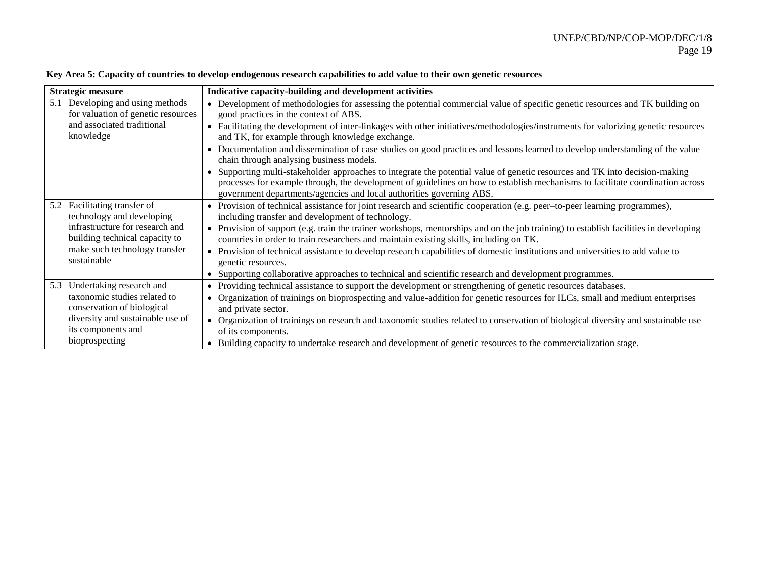| <b>Strategic measure</b>                                                  | Indicative capacity-building and development activities                                                                                                                                                                                                                                                                            |
|---------------------------------------------------------------------------|------------------------------------------------------------------------------------------------------------------------------------------------------------------------------------------------------------------------------------------------------------------------------------------------------------------------------------|
| Developing and using methods<br>5.1<br>for valuation of genetic resources | • Development of methodologies for assessing the potential commercial value of specific genetic resources and TK building on<br>good practices in the context of ABS.                                                                                                                                                              |
| and associated traditional<br>knowledge                                   | Facilitating the development of inter-linkages with other initiatives/methodologies/instruments for valorizing genetic resources<br>$\bullet$<br>and TK, for example through knowledge exchange.                                                                                                                                   |
|                                                                           | Documentation and dissemination of case studies on good practices and lessons learned to develop understanding of the value<br>$\bullet$<br>chain through analysing business models.                                                                                                                                               |
|                                                                           | Supporting multi-stakeholder approaches to integrate the potential value of genetic resources and TK into decision-making<br>processes for example through, the development of guidelines on how to establish mechanisms to facilitate coordination across<br>government departments/agencies and local authorities governing ABS. |
| Facilitating transfer of<br>5.2<br>technology and developing              | • Provision of technical assistance for joint research and scientific cooperation (e.g. peer–to-peer learning programmes),<br>including transfer and development of technology.                                                                                                                                                    |
| infrastructure for research and<br>building technical capacity to         | Provision of support (e.g. train the trainer workshops, mentorships and on the job training) to establish facilities in developing<br>$\bullet$<br>countries in order to train researchers and maintain existing skills, including on TK.                                                                                          |
| make such technology transfer<br>sustainable                              | Provision of technical assistance to develop research capabilities of domestic institutions and universities to add value to<br>$\bullet$<br>genetic resources.                                                                                                                                                                    |
|                                                                           | Supporting collaborative approaches to technical and scientific research and development programmes.                                                                                                                                                                                                                               |
| Undertaking research and<br>5.3                                           | Providing technical assistance to support the development or strengthening of genetic resources databases.<br>$\bullet$                                                                                                                                                                                                            |
| taxonomic studies related to<br>conservation of biological                | Organization of trainings on bioprospecting and value-addition for genetic resources for ILCs, small and medium enterprises<br>$\bullet$<br>and private sector.                                                                                                                                                                    |
| diversity and sustainable use of<br>its components and                    | Organization of trainings on research and taxonomic studies related to conservation of biological diversity and sustainable use<br>of its components.                                                                                                                                                                              |
| bioprospecting                                                            | Building capacity to undertake research and development of genetic resources to the commercialization stage.<br>٠                                                                                                                                                                                                                  |

## **Key Area 5: Capacity of countries to develop endogenous research capabilities to add value to their own genetic resources**